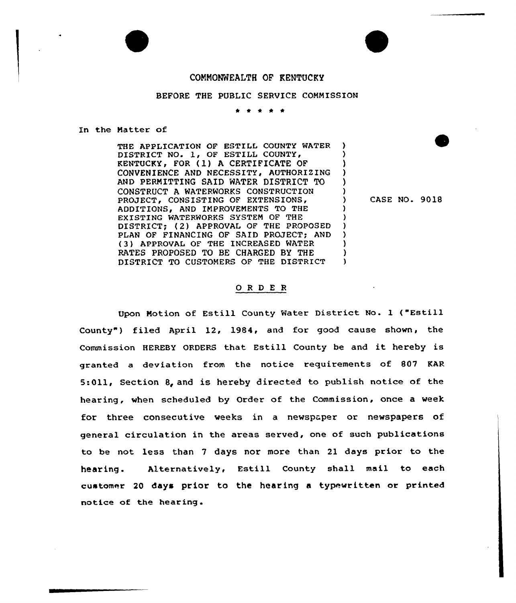## CONNONWEALTH OF KENTUCKY

## BEFORE THE PUBLIC SERVICE COMMISSION

t <sup>0</sup> \* \*

## In the Matter of

THE APPLICATION OF ESTILL COUNTY WATER DISTRICT NO. 1, OF ESTILL COUNTY, KENTUCKY, FOR (1) A CERTIFICATE OF CONVENIENCE AND NECESSITY, AUTHORIZING AND PERMITTING SAID WATER DISTRICT TO CONSTRUCT A WATERWORKS CONSTRUCTION PROJECT, CONSISTING OF EXTENSIONS, ADDITIONS, AND IMPROVEMENTS TO THE EXISTING WATERWORKS SYSTEM OF THE DISTRICT; (2) APPROVAL OF THE PROPOSED PLAN OF FINANCING OF SAID PROJECT; AND {3) APPROVAL OF THE INCREASED WATER RATES PROPOSED TO BE CHARGED BY THE DISTRICT TO CUSTOMERS OF THE DISTRICT )

) CASE NO. 9018

) ) ) ) )

) ) ) ) ) ) )

## ORDER

Upon Motion of Estill County Water District No. <sup>1</sup> {"Estill County") filed April 12, 1984, and for good cause shown, the Commission HEREBY ORDERS that Estill County be and it hereby is granted a deviation from the notice requirements of 807 KAR 5:011, Section 8, and is hereby directed to publish notice of the hearing, when scheduled by Order of the Commission, once a week for three consecutive weeks in a newspaper or newspapers of general circulation in the areas served, one of such publications to be not less than <sup>7</sup> days nor more than 21 days prior to the hearing. Alternatively, Estill County shall mail to each customer 20 days prior to the hearing a typewritten or printed notice of the hearing .